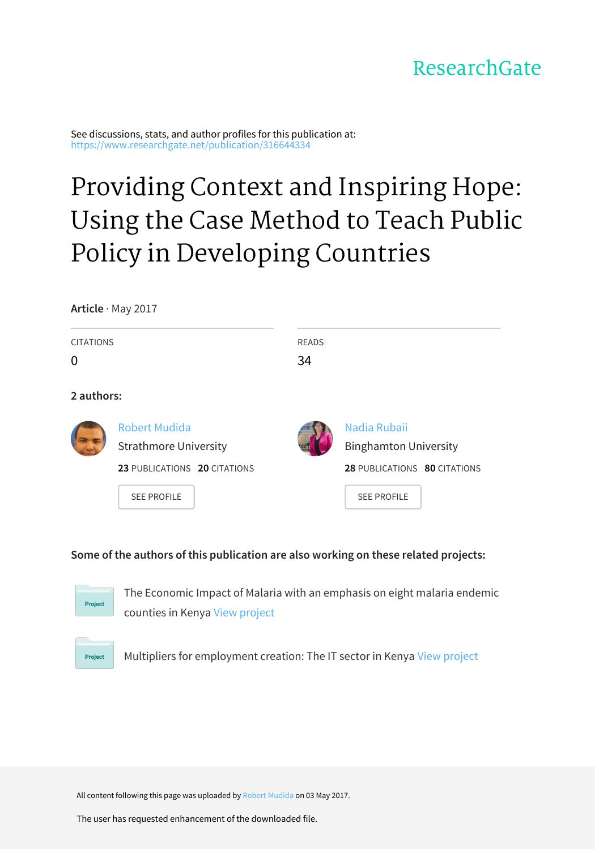# ResearchGate

See discussions, stats, and author profiles for this publication at: [https://www.researchgate.net/publication/316644334](https://www.researchgate.net/publication/316644334_Providing_Context_and_Inspiring_Hope_Using_the_Case_Method_to_Teach_Public_Policy_in_Developing_Countries?enrichId=rgreq-3a609291a0319c8ed8205c43b3053359-XXX&enrichSource=Y292ZXJQYWdlOzMxNjY0NDMzNDtBUzo0ODk4MzA3MTYwNTU1NTJAMTQ5Mzc5NjE1MTM3NA%3D%3D&el=1_x_2&_esc=publicationCoverPdf)

# Providing Context and Inspiring Hope: Using the Case Method to Teach Public Policy in [Developing](https://www.researchgate.net/publication/316644334_Providing_Context_and_Inspiring_Hope_Using_the_Case_Method_to_Teach_Public_Policy_in_Developing_Countries?enrichId=rgreq-3a609291a0319c8ed8205c43b3053359-XXX&enrichSource=Y292ZXJQYWdlOzMxNjY0NDMzNDtBUzo0ODk4MzA3MTYwNTU1NTJAMTQ5Mzc5NjE1MTM3NA%3D%3D&el=1_x_3&_esc=publicationCoverPdf) Countries

**Article** · May 2017

| <b>CITATIONS</b><br>0 |                                                                                                            | <b>READS</b><br>34 |                                                                                                    |
|-----------------------|------------------------------------------------------------------------------------------------------------|--------------------|----------------------------------------------------------------------------------------------------|
| 2 authors:            |                                                                                                            |                    |                                                                                                    |
|                       | <b>Robert Mudida</b><br><b>Strathmore University</b><br>23 PUBLICATIONS 20 CITATIONS<br><b>SEE PROFILE</b> |                    | Nadia Rubaii<br><b>Binghamton University</b><br>28 PUBLICATIONS 80 CITATIONS<br><b>SEE PROFILE</b> |

# **Some of the authors of this publication are also working on these related projects:**



The Economic Impact of Malaria with an emphasis on eight malaria endemic counties in Kenya View [project](https://www.researchgate.net/project/The-Economic-Impact-of-Malaria-with-an-emphasis-on-eight-malaria-endemic-counties-in-Kenya?enrichId=rgreq-3a609291a0319c8ed8205c43b3053359-XXX&enrichSource=Y292ZXJQYWdlOzMxNjY0NDMzNDtBUzo0ODk4MzA3MTYwNTU1NTJAMTQ5Mzc5NjE1MTM3NA%3D%3D&el=1_x_9&_esc=publicationCoverPdf)



Multipliers for employment creation: The IT sector in Kenya View [project](https://www.researchgate.net/project/Multipliers-for-employment-creation-The-IT-sector-in-Kenya?enrichId=rgreq-3a609291a0319c8ed8205c43b3053359-XXX&enrichSource=Y292ZXJQYWdlOzMxNjY0NDMzNDtBUzo0ODk4MzA3MTYwNTU1NTJAMTQ5Mzc5NjE1MTM3NA%3D%3D&el=1_x_9&_esc=publicationCoverPdf)

All content following this page was uploaded by Robert [Mudida](https://www.researchgate.net/profile/Robert_Mudida?enrichId=rgreq-3a609291a0319c8ed8205c43b3053359-XXX&enrichSource=Y292ZXJQYWdlOzMxNjY0NDMzNDtBUzo0ODk4MzA3MTYwNTU1NTJAMTQ5Mzc5NjE1MTM3NA%3D%3D&el=1_x_10&_esc=publicationCoverPdf) on 03 May 2017.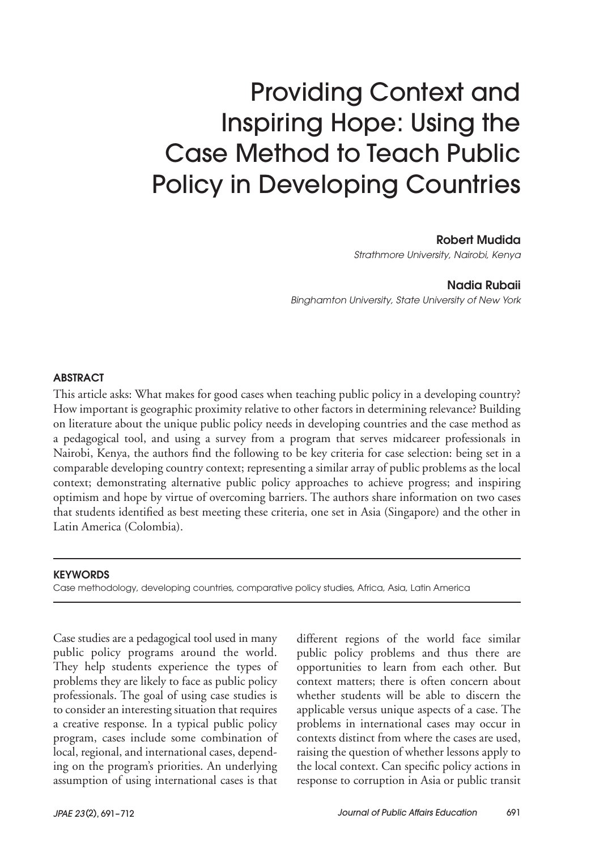# Providing Context and Inspiring Hope: Using the Case Method to Teach Public Policy in Developing Countries

Robert Mudida

*Strathmore University, Nairobi, Kenya*

Nadia Rubaii

*Binghamton University, State University of New York*

#### ABSTRACT

This article asks: What makes for good cases when teaching public policy in a developing country? How important is geographic proximity relative to other factors in determining relevance? Building on literature about the unique public policy needs in developing countries and the case method as a pedagogical tool, and using a survey from a program that serves midcareer professionals in Nairobi, Kenya, the authors find the following to be key criteria for case selection: being set in a comparable developing country context; representing a similar array of public problems as the local context; demonstrating alternative public policy approaches to achieve progress; and inspiring optimism and hope by virtue of overcoming barriers. The authors share information on two cases that students identified as best meeting these criteria, one set in Asia (Singapore) and the other in Latin America (Colombia).

#### **KEYWORDS**

Case methodology, developing countries, comparative policy studies, Africa, Asia, Latin America

Case studies are a pedagogical tool used in many public policy programs around the world. They help students experience the types of problems they are likely to face as public policy professionals. The goal of using case studies is to consider an interesting situation that requires a creative response. In a typical public policy program, cases include some combination of local, regional, and international cases, depending on the program's priorities. An underlying assumption of using international cases is that

different regions of the world face similar public policy problems and thus there are opportunities to learn from each other. But context matters; there is often concern about whether students will be able to discern the applicable versus unique aspects of a case. The problems in international cases may occur in contexts distinct from where the cases are used, raising the question of whether lessons apply to the local context. Can specific policy actions in response to corruption in Asia or public transit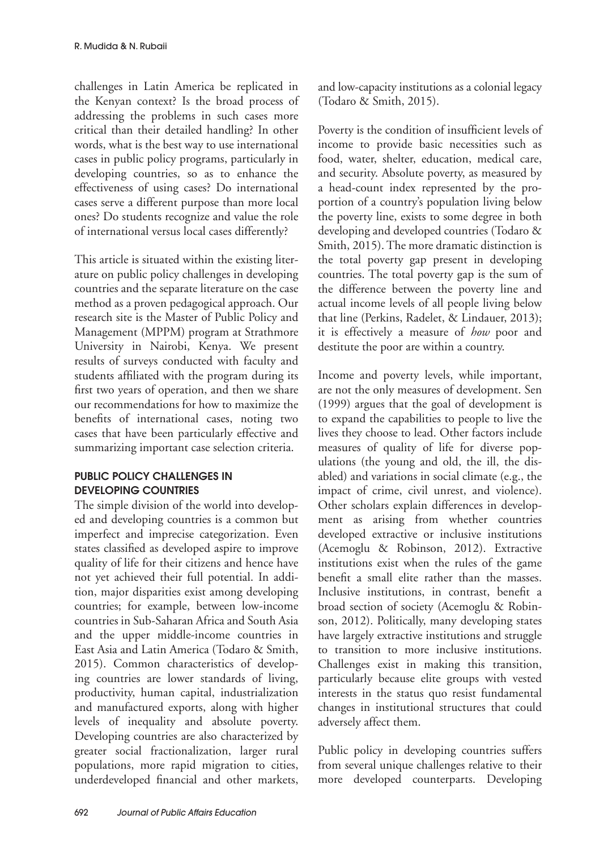challenges in Latin America be replicated in the Kenyan context? Is the broad process of addressing the problems in such cases more critical than their detailed handling? In other words, what is the best way to use international cases in public policy programs, particularly in developing countries, so as to enhance the effectiveness of using cases? Do international cases serve a different purpose than more local ones? Do students recognize and value the role of international versus local cases differently?

This article is situated within the existing literature on public policy challenges in developing countries and the separate literature on the case method as a proven pedagogical approach. Our research site is the Master of Public Policy and Management (MPPM) program at Strathmore University in Nairobi, Kenya. We present results of surveys conducted with faculty and students affiliated with the program during its first two years of operation, and then we share our recommendations for how to maximize the benefits of international cases, noting two cases that have been particularly effective and summarizing important case selection criteria.

# PUBLIC POLICY CHALLENGES IN DEVELOPING COUNTRIES

The simple division of the world into developed and developing countries is a common but imperfect and imprecise categorization. Even states classified as developed aspire to improve quality of life for their citizens and hence have not yet achieved their full potential. In addition, major disparities exist among developing countries; for example, between low-income countries in Sub-Saharan Africa and South Asia and the upper middle-income countries in East Asia and Latin America (Todaro & Smith, 2015). Common characteristics of developing countries are lower standards of living, productivity, human capital, industrialization and manufactured exports, along with higher levels of inequality and absolute poverty. Developing countries are also characterized by greater social fractionalization, larger rural populations, more rapid migration to cities, underdeveloped financial and other markets,

and low-capacity institutions as a colonial legacy (Todaro & Smith, 2015).

Poverty is the condition of insufficient levels of income to provide basic necessities such as food, water, shelter, education, medical care, and security. Absolute poverty, as measured by a head-count index represented by the proportion of a country's population living below the poverty line, exists to some degree in both developing and developed countries (Todaro & Smith, 2015). The more dramatic distinction is the total poverty gap present in developing countries. The total poverty gap is the sum of the difference between the poverty line and actual income levels of all people living below that line (Perkins, Radelet, & Lindauer, 2013); it is effectively a measure of *how* poor and destitute the poor are within a country.

Income and poverty levels, while important, are not the only measures of development. Sen (1999) argues that the goal of development is to expand the capabilities to people to live the lives they choose to lead. Other factors include measures of quality of life for diverse populations (the young and old, the ill, the disabled) and variations in social climate (e.g., the impact of crime, civil unrest, and violence). Other scholars explain differences in development as arising from whether countries developed extractive or inclusive institutions (Acemoglu & Robinson, 2012). Extractive institutions exist when the rules of the game benefit a small elite rather than the masses. Inclusive institutions, in contrast, benefit a broad section of society (Acemoglu & Robinson, 2012). Politically, many developing states have largely extractive institutions and struggle to transition to more inclusive institutions. Challenges exist in making this transition, particularly because elite groups with vested interests in the status quo resist fundamental changes in institutional structures that could adversely affect them.

Public policy in developing countries suffers from several unique challenges relative to their more developed counterparts. Developing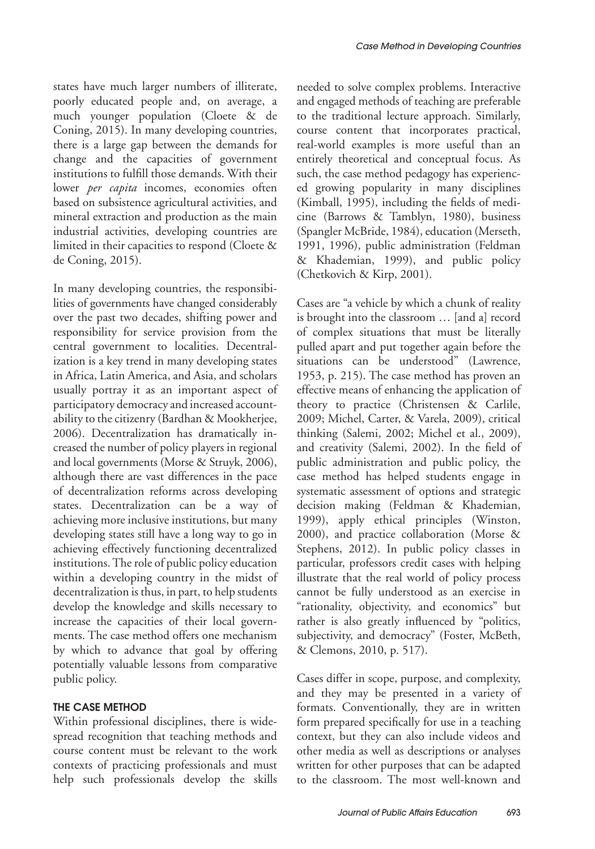states have much larger numbers of illiterate, poorly educated people and, on average, a much younger population (Cloete & de Coning, 2015). In many developing countries, there is a large gap between the demands for change and the capacities of government institutions to fulfill those demands. With their lower *per capita* incomes, economies often based on subsistence agricultural activities, and mineral extraction and production as the main industrial activities, developing countries are limited in their capacities to respond (Cloete & de Coning, 2015).

In many developing countries, the responsibilities of governments have changed considerably over the past two decades, shifting power and responsibility for service provision from the central government to localities. Decentralization is a key trend in many developing states in Africa, Latin America, and Asia, and scholars usually portray it as an important aspect of participatory democracy and increased accountability to the citizenry (Bardhan & Mookherjee, 2006). Decentralization has dramatically increased the number of policy players in regional and local governments (Morse & Struyk, 2006), although there are vast differences in the pace of decentralization reforms across developing states. Decentralization can be a way of achieving more inclusive institutions, but many developing states still have a long way to go in achieving effectively functioning decentralized institutions. The role of public policy education within a developing country in the midst of decentralization is thus, in part, to help students develop the knowledge and skills necessary to increase the capacities of their local governments. The case method offers one mechanism by which to advance that goal by offering potentially valuable lessons from comparative public policy.

# THE CASE METHOD

Within professional disciplines, there is widespread recognition that teaching methods and course content must be relevant to the work contexts of practicing professionals and must help such professionals develop the skills

needed to solve complex problems. Interactive and engaged methods of teaching are preferable to the traditional lecture approach. Similarly, course content that incorporates practical, real-world examples is more useful than an entirely theoretical and conceptual focus. As such, the case method pedagogy has experienced growing popularity in many disciplines (Kimball, 1995), including the fields of medicine (Barrows & Tamblyn, 1980), business (Spangler McBride, 1984), education (Merseth, 1991, 1996), public administration (Feldman & Khademian, 1999), and public policy (Chetkovich & Kirp, 2001).

Cases are "a vehicle by which a chunk of reality is brought into the classroom … [and a] record of complex situations that must be literally pulled apart and put together again before the situations can be understood" (Lawrence, 1953, p. 215). The case method has proven an effective means of enhancing the application of theory to practice (Christensen & Carlile, 2009; Michel, Carter, & Varela, 2009), critical thinking (Salemi, 2002; Michel et al., 2009), and creativity (Salemi, 2002). In the field of public administration and public policy, the case method has helped students engage in systematic assessment of options and strategic decision making (Feldman & Khademian, 1999), apply ethical principles (Winston, 2000), and practice collaboration (Morse & Stephens, 2012). In public policy classes in particular, professors credit cases with helping illustrate that the real world of policy process cannot be fully understood as an exercise in "rationality, objectivity, and economics" but rather is also greatly influenced by "politics, subjectivity, and democracy" (Foster, McBeth, & Clemons, 2010, p. 517).

Cases differ in scope, purpose, and complexity, and they may be presented in a variety of formats. Conventionally, they are in written form prepared specifically for use in a teaching context, but they can also include videos and other media as well as descriptions or analyses written for other purposes that can be adapted to the classroom. The most well-known and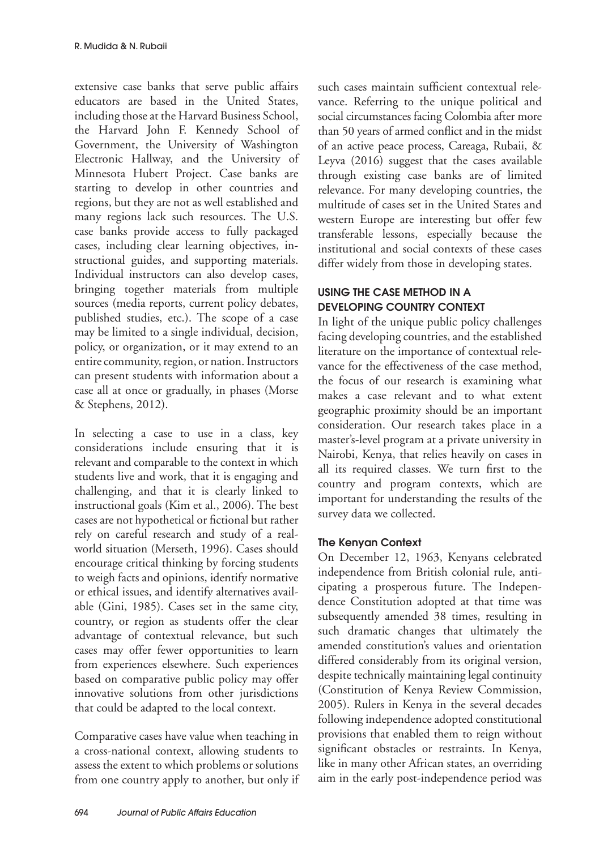extensive case banks that serve public affairs educators are based in the United States, including those at the Harvard Business School, the Harvard John F. Kennedy School of Government, the University of Washington Electronic Hallway, and the University of Minnesota Hubert Project. Case banks are starting to develop in other countries and regions, but they are not as well established and many regions lack such resources. The U.S. case banks provide access to fully packaged cases, including clear learning objectives, instructional guides, and supporting materials. Individual instructors can also develop cases, bringing together materials from multiple sources (media reports, current policy debates, published studies, etc.). The scope of a case may be limited to a single individual, decision, policy, or organization, or it may extend to an entire community, region, or nation. Instructors can present students with information about a case all at once or gradually, in phases (Morse & Stephens, 2012).

In selecting a case to use in a class, key considerations include ensuring that it is relevant and comparable to the context in which students live and work, that it is engaging and challenging, and that it is clearly linked to instructional goals (Kim et al., 2006). The best cases are not hypothetical or fictional but rather rely on careful research and study of a realworld situation (Merseth, 1996). Cases should encourage critical thinking by forcing students to weigh facts and opinions, identify normative or ethical issues, and identify alternatives available (Gini, 1985). Cases set in the same city, country, or region as students offer the clear advantage of contextual relevance, but such cases may offer fewer opportunities to learn from experiences elsewhere. Such experiences based on comparative public policy may offer innovative solutions from other jurisdictions that could be adapted to the local context.

Comparative cases have value when teaching in a cross-national context, allowing students to assess the extent to which problems or solutions from one country apply to another, but only if such cases maintain sufficient contextual relevance. Referring to the unique political and social circumstances facing Colombia after more than 50 years of armed conflict and in the midst of an active peace process, Careaga, Rubaii, & Leyva (2016) suggest that the cases available through existing case banks are of limited relevance. For many developing countries, the multitude of cases set in the United States and western Europe are interesting but offer few transferable lessons, especially because the institutional and social contexts of these cases differ widely from those in developing states.

# USING THE CASE METHOD IN A DEVELOPING COUNTRY CONTEXT

In light of the unique public policy challenges facing developing countries, and the established literature on the importance of contextual relevance for the effectiveness of the case method, the focus of our research is examining what makes a case relevant and to what extent geographic proximity should be an important consideration. Our research takes place in a master's-level program at a private university in Nairobi, Kenya, that relies heavily on cases in all its required classes. We turn first to the country and program contexts, which are important for understanding the results of the survey data we collected.

# The Kenyan Context

On December 12, 1963, Kenyans celebrated independence from British colonial rule, anticipating a prosperous future. The Independence Constitution adopted at that time was subsequently amended 38 times, resulting in such dramatic changes that ultimately the amended constitution's values and orientation differed considerably from its original version, despite technically maintaining legal continuity (Constitution of Kenya Review Commission, 2005). Rulers in Kenya in the several decades following independence adopted constitutional provisions that enabled them to reign without significant obstacles or restraints. In Kenya, like in many other African states, an overriding aim in the early post-independence period was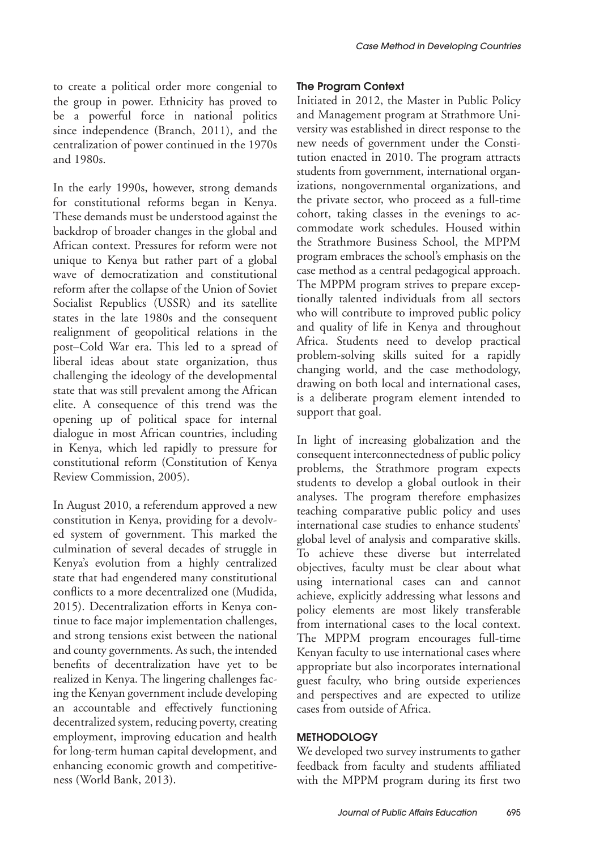to create a political order more congenial to the group in power. Ethnicity has proved to be a powerful force in national politics since independence (Branch, 2011), and the centralization of power continued in the 1970s and 1980s.

In the early 1990s, however, strong demands for constitutional reforms began in Kenya. These demands must be understood against the backdrop of broader changes in the global and African context. Pressures for reform were not unique to Kenya but rather part of a global wave of democratization and constitutional reform after the collapse of the Union of Soviet Socialist Republics (USSR) and its satellite states in the late 1980s and the consequent realignment of geopolitical relations in the post–Cold War era. This led to a spread of liberal ideas about state organization, thus challenging the ideology of the developmental state that was still prevalent among the African elite. A consequence of this trend was the opening up of political space for internal dialogue in most African countries, including in Kenya, which led rapidly to pressure for constitutional reform (Constitution of Kenya Review Commission, 2005).

In August 2010, a referendum approved a new constitution in Kenya, providing for a devolved system of government. This marked the culmination of several decades of struggle in Kenya's evolution from a highly centralized state that had engendered many constitutional conflicts to a more decentralized one (Mudida, 2015). Decentralization efforts in Kenya continue to face major implementation challenges, and strong tensions exist between the national and county governments. As such, the intended benefits of decentralization have yet to be realized in Kenya. The lingering challenges facing the Kenyan government include developing an accountable and effectively functioning decentralized system, reducing poverty, creating employment, improving education and health for long-term human capital development, and enhancing economic growth and competitiveness (World Bank, 2013).

### The Program Context

Initiated in 2012, the Master in Public Policy and Management program at Strathmore University was established in direct response to the new needs of government under the Constitution enacted in 2010. The program attracts students from government, international organizations, nongovernmental organizations, and the private sector, who proceed as a full-time cohort, taking classes in the evenings to accommodate work schedules. Housed within the Strathmore Business School, the MPPM program embraces the school's emphasis on the case method as a central pedagogical approach. The MPPM program strives to prepare exceptionally talented individuals from all sectors who will contribute to improved public policy and quality of life in Kenya and throughout Africa. Students need to develop practical problem-solving skills suited for a rapidly changing world, and the case methodology, drawing on both local and international cases, is a deliberate program element intended to support that goal.

In light of increasing globalization and the consequent interconnectedness of public policy problems, the Strathmore program expects students to develop a global outlook in their analyses. The program therefore emphasizes teaching comparative public policy and uses international case studies to enhance students' global level of analysis and comparative skills. To achieve these diverse but interrelated objectives, faculty must be clear about what using international cases can and cannot achieve, explicitly addressing what lessons and policy elements are most likely transferable from international cases to the local context. The MPPM program encourages full-time Kenyan faculty to use international cases where appropriate but also incorporates international guest faculty, who bring outside experiences and perspectives and are expected to utilize cases from outside of Africa.

# **METHODOLOGY**

We developed two survey instruments to gather feedback from faculty and students affiliated with the MPPM program during its first two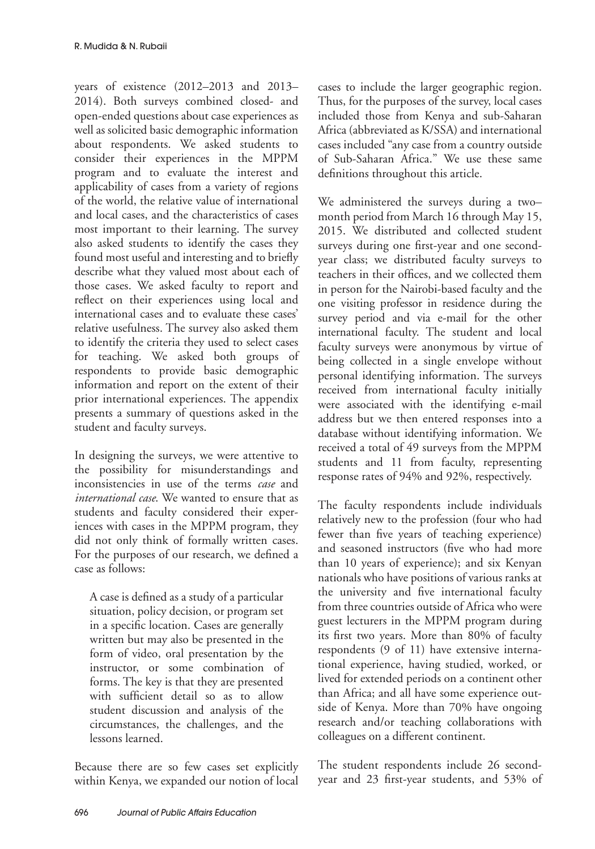years of existence (2012–2013 and 2013– 2014). Both surveys combined closed- and open-ended questions about case experiences as well as solicited basic demographic information about respondents. We asked students to consider their experiences in the MPPM program and to evaluate the interest and applicability of cases from a variety of regions of the world, the relative value of international and local cases, and the characteristics of cases most important to their learning. The survey also asked students to identify the cases they found most useful and interesting and to briefly describe what they valued most about each of those cases. We asked faculty to report and reflect on their experiences using local and international cases and to evaluate these cases' relative usefulness. The survey also asked them to identify the criteria they used to select cases for teaching. We asked both groups of respondents to provide basic demographic information and report on the extent of their prior international experiences. The appendix presents a summary of questions asked in the student and faculty surveys.

In designing the surveys, we were attentive to the possibility for misunderstandings and inconsistencies in use of the terms *case* and *international case*. We wanted to ensure that as students and faculty considered their experiences with cases in the MPPM program, they did not only think of formally written cases. For the purposes of our research, we defined a case as follows:

A case is defined as a study of a particular situation, policy decision, or program set in a specific location. Cases are generally written but may also be presented in the form of video, oral presentation by the instructor, or some combination of forms. The key is that they are presented with sufficient detail so as to allow student discussion and analysis of the circumstances, the challenges, and the lessons learned.

Because there are so few cases set explicitly within Kenya, we expanded our notion of local

cases to include the larger geographic region. Thus, for the purposes of the survey, local cases included those from Kenya and sub-Saharan Africa (abbreviated as K/SSA) and international cases included "any case from a country outside of Sub-Saharan Africa." We use these same definitions throughout this article.

We administered the surveys during a two– month period from March 16 through May 15, 2015. We distributed and collected student surveys during one first-year and one secondyear class; we distributed faculty surveys to teachers in their offices, and we collected them in person for the Nairobi-based faculty and the one visiting professor in residence during the survey period and via e-mail for the other international faculty. The student and local faculty surveys were anonymous by virtue of being collected in a single envelope without personal identifying information. The surveys received from international faculty initially were associated with the identifying e-mail address but we then entered responses into a database without identifying information. We received a total of 49 surveys from the MPPM students and 11 from faculty, representing response rates of 94% and 92%, respectively.

The faculty respondents include individuals relatively new to the profession (four who had fewer than five years of teaching experience) and seasoned instructors (five who had more than 10 years of experience); and six Kenyan nationals who have positions of various ranks at the university and five international faculty from three countries outside of Africa who were guest lecturers in the MPPM program during its first two years. More than 80% of faculty respondents (9 of 11) have extensive international experience, having studied, worked, or lived for extended periods on a continent other than Africa; and all have some experience outside of Kenya. More than 70% have ongoing research and/or teaching collaborations with colleagues on a different continent.

The student respondents include 26 secondyear and 23 first-year students, and 53% of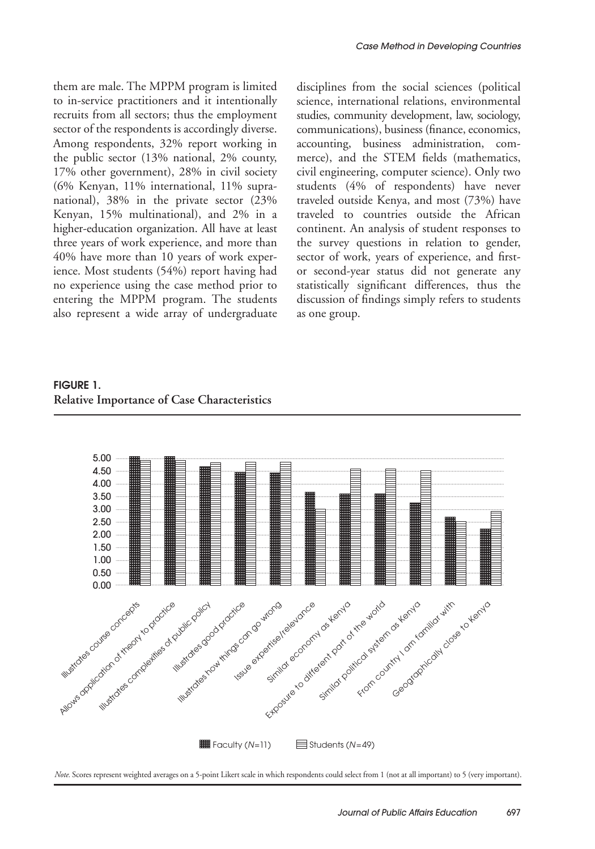them are male. The MPPM program is limited to in-service practitioners and it intentionally recruits from all sectors; thus the employment sector of the respondents is accordingly diverse. Among respondents, 32% report working in the public sector (13% national, 2% county, 17% other government), 28% in civil society (6% Kenyan, 11% international, 11% supranational), 38% in the private sector (23% Kenyan, 15% multinational), and 2% in a higher-education organization. All have at least three years of work experience, and more than 40% have more than 10 years of work experience. Most students (54%) report having had no experience using the case method prior to entering the MPPM program. The students also represent a wide array of undergraduate

disciplines from the social sciences (political science, international relations, environmental studies, community development, law, sociology, communications), business (finance, economics, accounting, business administration, commerce), and the STEM fields (mathematics, civil engineering, computer science). Only two students (4% of respondents) have never traveled outside Kenya, and most (73%) have traveled to countries outside the African continent. An analysis of student responses to the survey questions in relation to gender, sector of work, years of experience, and firstor second-year status did not generate any statistically significant differences, thus the discussion of findings simply refers to students as one group.

FIGURE 1. **Relative Importance of Case Characteristics**



*Note.* Scores represent weighted averages on a 5-point Likert scale in which respondents could select from 1 (not at all important) to 5 (very important).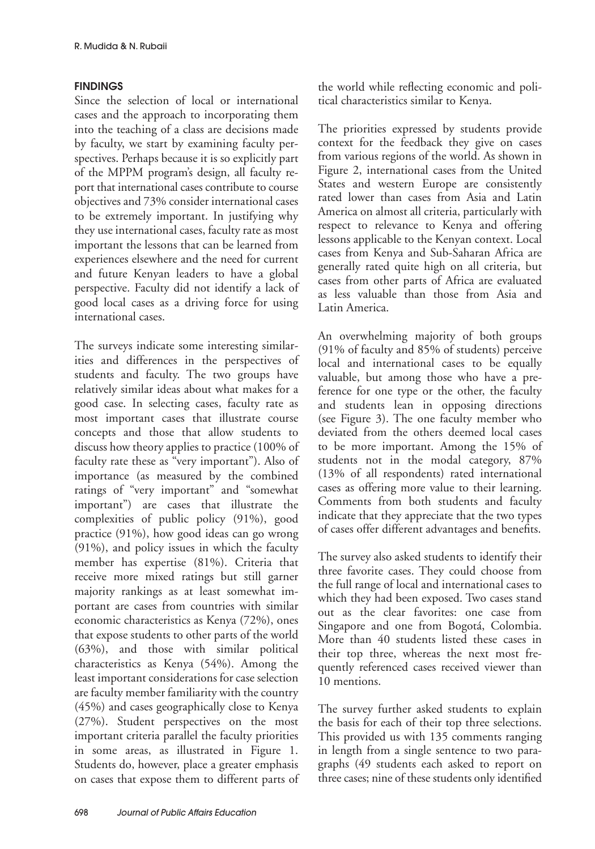# FINDINGS

Since the selection of local or international cases and the approach to incorporating them into the teaching of a class are decisions made by faculty, we start by examining faculty perspectives. Perhaps because it is so explicitly part of the MPPM program's design, all faculty report that international cases contribute to course objectives and 73% consider international cases to be extremely important. In justifying why they use international cases, faculty rate as most important the lessons that can be learned from experiences elsewhere and the need for current and future Kenyan leaders to have a global perspective. Faculty did not identify a lack of good local cases as a driving force for using international cases.

The surveys indicate some interesting similarities and differences in the perspectives of students and faculty. The two groups have relatively similar ideas about what makes for a good case. In selecting cases, faculty rate as most important cases that illustrate course concepts and those that allow students to discuss how theory applies to practice (100% of faculty rate these as "very important"). Also of importance (as measured by the combined ratings of "very important" and "somewhat important") are cases that illustrate the complexities of public policy (91%), good practice (91%), how good ideas can go wrong (91%), and policy issues in which the faculty member has expertise (81%). Criteria that receive more mixed ratings but still garner majority rankings as at least somewhat important are cases from countries with similar economic characteristics as Kenya (72%), ones that expose students to other parts of the world (63%), and those with similar political characteristics as Kenya (54%). Among the least important considerations for case selection are faculty member familiarity with the country (45%) and cases geographically close to Kenya (27%). Student perspectives on the most important criteria parallel the faculty priorities in some areas, as illustrated in Figure 1. Students do, however, place a greater emphasis on cases that expose them to different parts of the world while reflecting economic and political characteristics similar to Kenya.

The priorities expressed by students provide context for the feedback they give on cases from various regions of the world. As shown in Figure 2, international cases from the United States and western Europe are consistently rated lower than cases from Asia and Latin America on almost all criteria, particularly with respect to relevance to Kenya and offering lessons applicable to the Kenyan context. Local cases from Kenya and Sub-Saharan Africa are generally rated quite high on all criteria, but cases from other parts of Africa are evaluated as less valuable than those from Asia and Latin America.

An overwhelming majority of both groups (91% of faculty and 85% of students) perceive local and international cases to be equally valuable, but among those who have a preference for one type or the other, the faculty and students lean in opposing directions (see Figure 3). The one faculty member who deviated from the others deemed local cases to be more important. Among the 15% of students not in the modal category, 87% (13% of all respondents) rated international cases as offering more value to their learning. Comments from both students and faculty indicate that they appreciate that the two types of cases offer different advantages and benefits.

The survey also asked students to identify their three favorite cases. They could choose from the full range of local and international cases to which they had been exposed. Two cases stand out as the clear favorites: one case from Singapore and one from Bogotá, Colombia. More than 40 students listed these cases in their top three, whereas the next most frequently referenced cases received viewer than 10 mentions.

The survey further asked students to explain the basis for each of their top three selections. This provided us with 135 comments ranging in length from a single sentence to two paragraphs (49 students each asked to report on three cases; nine of these students only identified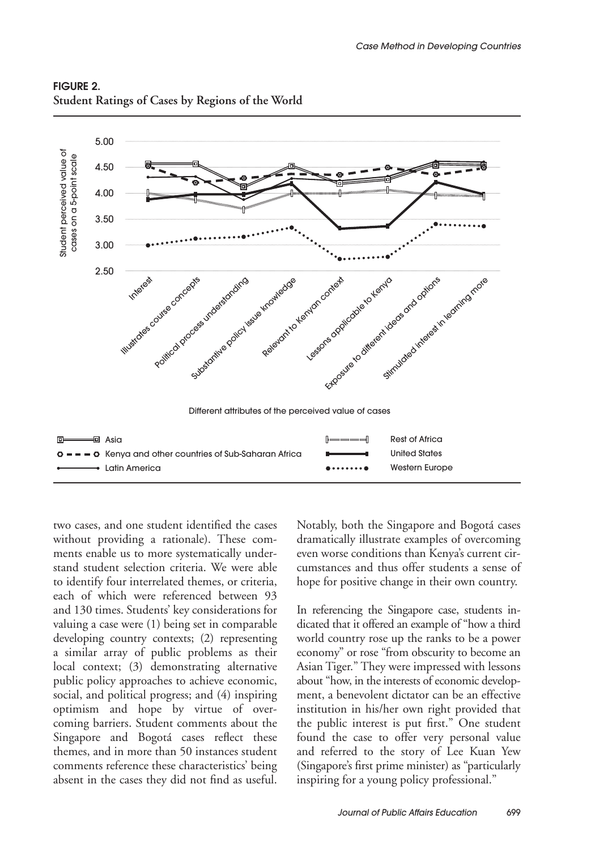

# FIGURE 2. **Student Ratings of Cases by Regions of the World**

two cases, and one student identified the cases without providing a rationale). These comments enable us to more systematically understand student selection criteria. We were able to identify four interrelated themes, or criteria, each of which were referenced between 93 and 130 times. Students' key considerations for valuing a case were (1) being set in comparable developing country contexts; (2) representing a similar array of public problems as their local context; (3) demonstrating alternative public policy approaches to achieve economic, social, and political progress; and (4) inspiring optimism and hope by virtue of overcoming barriers. Student comments about the Singapore and Bogotá cases reflect these themes, and in more than 50 instances student comments reference these characteristics' being absent in the cases they did not find as useful.

Notably, both the Singapore and Bogotá cases dramatically illustrate examples of overcoming even worse conditions than Kenya's current circumstances and thus offer students a sense of hope for positive change in their own country.

In referencing the Singapore case, students indicated that it offered an example of "how a third world country rose up the ranks to be a power economy" or rose "from obscurity to become an Asian Tiger." They were impressed with lessons about "how, in the interests of economic development, a benevolent dictator can be an effective institution in his/her own right provided that the public interest is put first." One student found the case to offer very personal value and referred to the story of Lee Kuan Yew (Singapore's first prime minister) as "particularly inspiring for a young policy professional."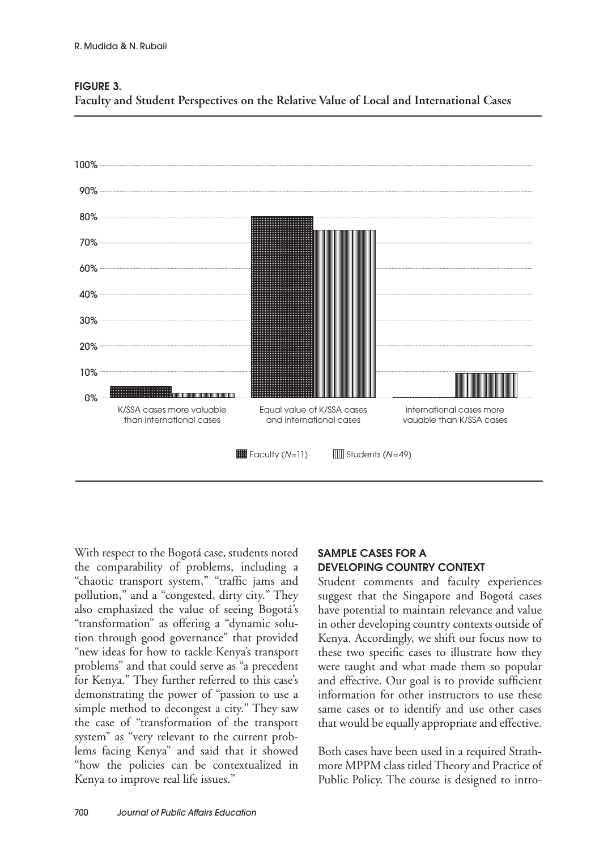

FIGURE 3.

**Faculty and Student Perspectives on the Relative Value of Local and International Cases**

With respect to the Bogotá case, students noted the comparability of problems, including a "chaotic transport system," "traffic jams and pollution," and a "congested, dirty city." They also emphasized the value of seeing Bogotá's "transformation" as offering a "dynamic solution through good governance" that provided "new ideas for how to tackle Kenya's transport problems" and that could serve as "a precedent for Kenya." They further referred to this case's demonstrating the power of "passion to use a simple method to decongest a city." They saw the case of "transformation of the transport system" as "very relevant to the current problems facing Kenya" and said that it showed "how the policies can be contextualized in Kenya to improve real life issues."

# SAMPLE CASES FOR A DEVELOPING COUNTRY CONTEXT

Student comments and faculty experiences suggest that the Singapore and Bogotá cases have potential to maintain relevance and value in other developing country contexts outside of Kenya. Accordingly, we shift our focus now to these two specific cases to illustrate how they were taught and what made them so popular and effective. Our goal is to provide sufficient information for other instructors to use these same cases or to identify and use other cases that would be equally appropriate and effective.

Both cases have been used in a required Strathmore MPPM class titled Theory and Practice of Public Policy. The course is designed to intro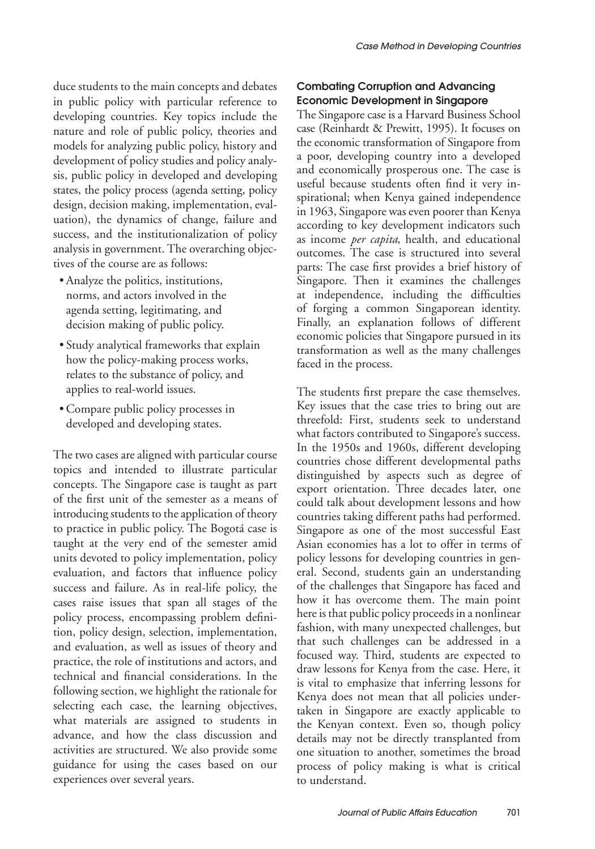duce students to the main concepts and debates in public policy with particular reference to developing countries. Key topics include the nature and role of public policy, theories and models for analyzing public policy, history and development of policy studies and policy analysis, public policy in developed and developing states, the policy process (agenda setting, policy design, decision making, implementation, evaluation), the dynamics of change, failure and success, and the institutionalization of policy analysis in government. The overarching objectives of the course are as follows:

- Analyze the politics, institutions, norms, and actors involved in the agenda setting, legitimating, and decision making of public policy.
- • Study analytical frameworks that explain how the policy-making process works, relates to the substance of policy, and applies to real-world issues.
- Compare public policy processes in developed and developing states.

The two cases are aligned with particular course topics and intended to illustrate particular concepts. The Singapore case is taught as part of the first unit of the semester as a means of introducing students to the application of theory to practice in public policy. The Bogotá case is taught at the very end of the semester amid units devoted to policy implementation, policy evaluation, and factors that influence policy success and failure. As in real-life policy, the cases raise issues that span all stages of the policy process, encompassing problem definition, policy design, selection, implementation, and evaluation, as well as issues of theory and practice, the role of institutions and actors, and technical and financial considerations. In the following section, we highlight the rationale for selecting each case, the learning objectives, what materials are assigned to students in advance, and how the class discussion and activities are structured. We also provide some guidance for using the cases based on our experiences over several years.

# Combating Corruption and Advancing Economic Development in Singapore

The Singapore case is a Harvard Business School case (Reinhardt & Prewitt, 1995). It focuses on the economic transformation of Singapore from a poor, developing country into a developed and economically prosperous one. The case is useful because students often find it very inspirational; when Kenya gained independence in 1963, Singapore was even poorer than Kenya according to key development indicators such as income *per capita*, health, and educational outcomes. The case is structured into several parts: The case first provides a brief history of Singapore. Then it examines the challenges at independence, including the difficulties of forging a common Singaporean identity. Finally, an explanation follows of different economic policies that Singapore pursued in its transformation as well as the many challenges faced in the process.

The students first prepare the case themselves. Key issues that the case tries to bring out are threefold: First, students seek to understand what factors contributed to Singapore's success. In the 1950s and 1960s, different developing countries chose different developmental paths distinguished by aspects such as degree of export orientation. Three decades later, one could talk about development lessons and how countries taking different paths had performed. Singapore as one of the most successful East Asian economies has a lot to offer in terms of policy lessons for developing countries in general. Second, students gain an understanding of the challenges that Singapore has faced and how it has overcome them. The main point here is that public policy proceeds in a nonlinear fashion, with many unexpected challenges, but that such challenges can be addressed in a focused way. Third, students are expected to draw lessons for Kenya from the case. Here, it is vital to emphasize that inferring lessons for Kenya does not mean that all policies undertaken in Singapore are exactly applicable to the Kenyan context. Even so, though policy details may not be directly transplanted from one situation to another, sometimes the broad process of policy making is what is critical to understand.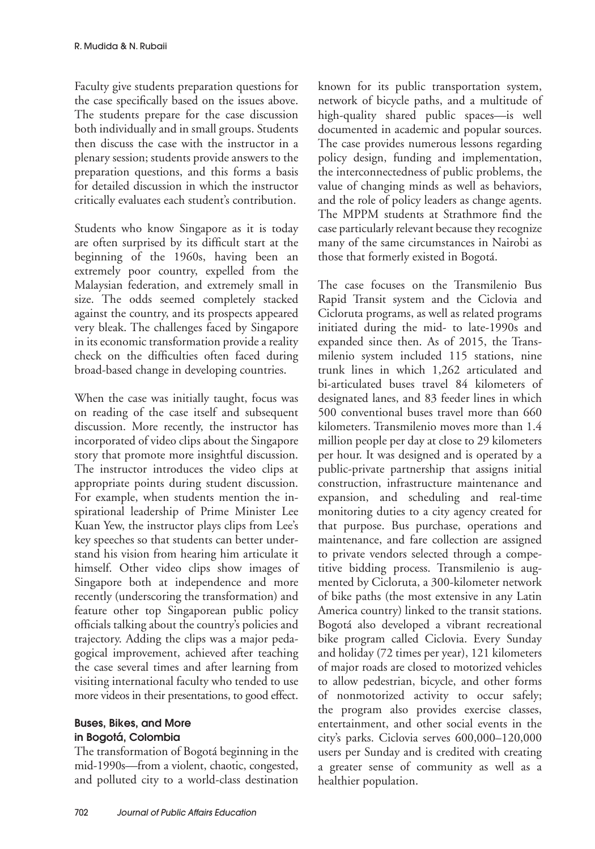Faculty give students preparation questions for the case specifically based on the issues above. The students prepare for the case discussion both individually and in small groups. Students then discuss the case with the instructor in a plenary session; students provide answers to the preparation questions, and this forms a basis for detailed discussion in which the instructor critically evaluates each student's contribution.

Students who know Singapore as it is today are often surprised by its difficult start at the beginning of the 1960s, having been an extremely poor country, expelled from the Malaysian federation, and extremely small in size. The odds seemed completely stacked against the country, and its prospects appeared very bleak. The challenges faced by Singapore in its economic transformation provide a reality check on the difficulties often faced during broad-based change in developing countries.

When the case was initially taught, focus was on reading of the case itself and subsequent discussion. More recently, the instructor has incorporated of video clips about the Singapore story that promote more insightful discussion. The instructor introduces the video clips at appropriate points during student discussion. For example, when students mention the inspirational leadership of Prime Minister Lee Kuan Yew, the instructor plays clips from Lee's key speeches so that students can better understand his vision from hearing him articulate it himself. Other video clips show images of Singapore both at independence and more recently (underscoring the transformation) and feature other top Singaporean public policy officials talking about the country's policies and trajectory. Adding the clips was a major pedagogical improvement, achieved after teaching the case several times and after learning from visiting international faculty who tended to use more videos in their presentations, to good effect.

# Buses, Bikes, and More in Bogotá, Colombia

The transformation of Bogotá beginning in the mid-1990s—from a violent, chaotic, congested, and polluted city to a world-class destination

known for its public transportation system, network of bicycle paths, and a multitude of high-quality shared public spaces—is well documented in academic and popular sources. The case provides numerous lessons regarding policy design, funding and implementation, the interconnectedness of public problems, the value of changing minds as well as behaviors, and the role of policy leaders as change agents. The MPPM students at Strathmore find the case particularly relevant because they recognize many of the same circumstances in Nairobi as those that formerly existed in Bogotá.

The case focuses on the Transmilenio Bus Rapid Transit system and the Ciclovia and Cicloruta programs, as well as related programs initiated during the mid- to late-1990s and expanded since then. As of 2015, the Transmilenio system included 115 stations, nine trunk lines in which 1,262 articulated and bi-articulated buses travel 84 kilometers of designated lanes, and 83 feeder lines in which 500 conventional buses travel more than 660 kilometers. Transmilenio moves more than 1.4 million people per day at close to 29 kilometers per hour. It was designed and is operated by a public-private partnership that assigns initial construction, infrastructure maintenance and expansion, and scheduling and real-time monitoring duties to a city agency created for that purpose. Bus purchase, operations and maintenance, and fare collection are assigned to private vendors selected through a competitive bidding process. Transmilenio is augmented by Cicloruta, a 300-kilometer network of bike paths (the most extensive in any Latin America country) linked to the transit stations. Bogotá also developed a vibrant recreational bike program called Ciclovia. Every Sunday and holiday (72 times per year), 121 kilometers of major roads are closed to motorized vehicles to allow pedestrian, bicycle, and other forms of nonmotorized activity to occur safely; the program also provides exercise classes, entertainment, and other social events in the city's parks. Ciclovia serves 600,000–120,000 users per Sunday and is credited with creating a greater sense of community as well as a healthier population.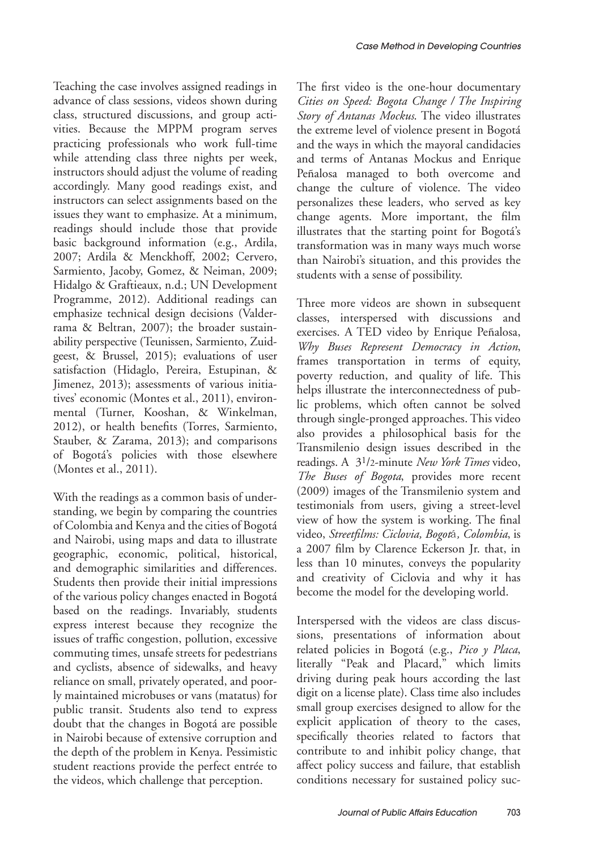Teaching the case involves assigned readings in advance of class sessions, videos shown during class, structured discussions, and group activities. Because the MPPM program serves practicing professionals who work full-time while attending class three nights per week, instructors should adjust the volume of reading accordingly. Many good readings exist, and instructors can select assignments based on the issues they want to emphasize. At a minimum, readings should include those that provide basic background information (e.g., Ardila, 2007; Ardila & Menckhoff, 2002; Cervero, Sarmiento, Jacoby, Gomez, & Neiman, 2009; Hidalgo & Graftieaux, n.d.; UN Development Programme, 2012). Additional readings can emphasize technical design decisions (Valderrama & Beltran, 2007); the broader sustainability perspective (Teunissen, Sarmiento, Zuidgeest, & Brussel, 2015); evaluations of user satisfaction (Hidaglo, Pereira, Estupinan, & Jimenez, 2013); assessments of various initiatives' economic (Montes et al., 2011), environmental (Turner, Kooshan, & Winkelman, 2012), or health benefits (Torres, Sarmiento, Stauber, & Zarama, 2013); and comparisons of Bogotá's policies with those elsewhere (Montes et al., 2011).

With the readings as a common basis of understanding, we begin by comparing the countries of Colombia and Kenya and the cities of Bogotá and Nairobi, using maps and data to illustrate geographic, economic, political, historical, and demographic similarities and differences. Students then provide their initial impressions of the various policy changes enacted in Bogotá based on the readings. Invariably, students express interest because they recognize the issues of traffic congestion, pollution, excessive commuting times, unsafe streets for pedestrians and cyclists, absence of sidewalks, and heavy reliance on small, privately operated, and poorly maintained microbuses or vans (matatus) for public transit. Students also tend to express doubt that the changes in Bogotá are possible in Nairobi because of extensive corruption and the depth of the problem in Kenya. Pessimistic student reactions provide the perfect entrée to the videos, which challenge that perception.

The first video is the one-hour documentary *Cities on Speed: Bogota Change / The Inspiring Story of Antanas Mockus*. The video illustrates the extreme level of violence present in Bogotá and the ways in which the mayoral candidacies and terms of Antanas Mockus and Enrique Peñalosa managed to both overcome and change the culture of violence. The video personalizes these leaders, who served as key change agents. More important, the film illustrates that the starting point for Bogotá's transformation was in many ways much worse than Nairobi's situation, and this provides the students with a sense of possibility.

Three more videos are shown in subsequent classes, interspersed with discussions and exercises. A TED video by Enrique Peñalosa, *Why Buses Represent Democracy in Action*, frames transportation in terms of equity, poverty reduction, and quality of life. This helps illustrate the interconnectedness of public problems, which often cannot be solved through single-pronged approaches. This video also provides a philosophical basis for the Transmilenio design issues described in the readings. A 31/2-minute *New York Times* video, *The Buses of Bogota*, provides more recent (2009) images of the Transmilenio system and testimonials from users, giving a street-level view of how the system is working. The final video, *Streetfilms: Ciclovia, Bogot*á*, Colombia*, is a 2007 film by Clarence Eckerson Jr. that, in less than 10 minutes, conveys the popularity and creativity of Ciclovia and why it has become the model for the developing world.

Interspersed with the videos are class discussions, presentations of information about related policies in Bogotá (e.g., *Pico y Placa*, literally "Peak and Placard," which limits driving during peak hours according the last digit on a license plate). Class time also includes small group exercises designed to allow for the explicit application of theory to the cases, specifically theories related to factors that contribute to and inhibit policy change, that affect policy success and failure, that establish conditions necessary for sustained policy suc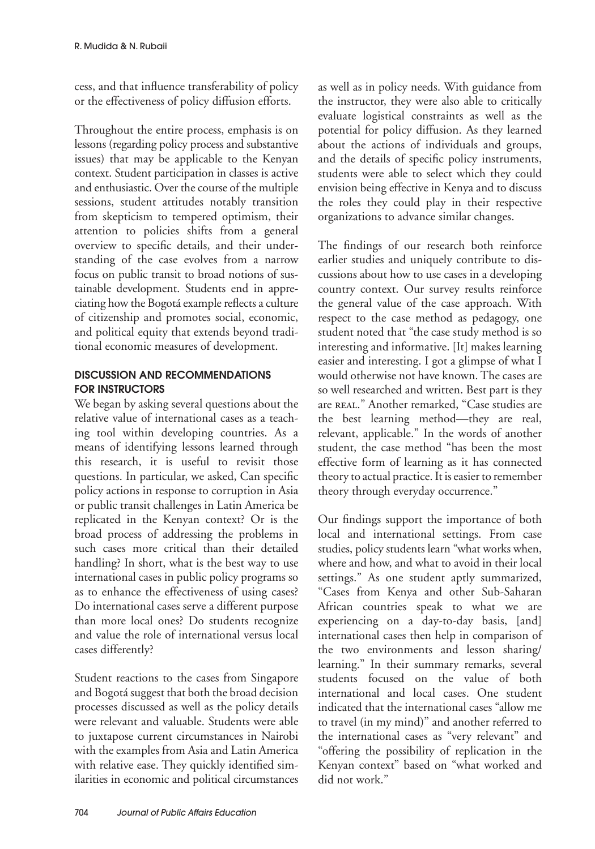cess, and that influence transferability of policy or the effectiveness of policy diffusion efforts.

Throughout the entire process, emphasis is on lessons (regarding policy process and substantive issues) that may be applicable to the Kenyan context. Student participation in classes is active and enthusiastic. Over the course of the multiple sessions, student attitudes notably transition from skepticism to tempered optimism, their attention to policies shifts from a general overview to specific details, and their understanding of the case evolves from a narrow focus on public transit to broad notions of sustainable development. Students end in appreciating how the Bogotá example reflects a culture of citizenship and promotes social, economic, and political equity that extends beyond traditional economic measures of development.

# DISCUSSION AND RECOMMENDATIONS FOR INSTRUCTORS

We began by asking several questions about the relative value of international cases as a teaching tool within developing countries. As a means of identifying lessons learned through this research, it is useful to revisit those questions. In particular, we asked, Can specific policy actions in response to corruption in Asia or public transit challenges in Latin America be replicated in the Kenyan context? Or is the broad process of addressing the problems in such cases more critical than their detailed handling? In short, what is the best way to use international cases in public policy programs so as to enhance the effectiveness of using cases? Do international cases serve a different purpose than more local ones? Do students recognize and value the role of international versus local cases differently?

Student reactions to the cases from Singapore and Bogotá suggest that both the broad decision processes discussed as well as the policy details were relevant and valuable. Students were able to juxtapose current circumstances in Nairobi with the examples from Asia and Latin America with relative ease. They quickly identified similarities in economic and political circumstances

as well as in policy needs. With guidance from the instructor, they were also able to critically evaluate logistical constraints as well as the potential for policy diffusion. As they learned about the actions of individuals and groups, and the details of specific policy instruments, students were able to select which they could envision being effective in Kenya and to discuss the roles they could play in their respective organizations to advance similar changes.

The findings of our research both reinforce earlier studies and uniquely contribute to discussions about how to use cases in a developing country context. Our survey results reinforce the general value of the case approach. With respect to the case method as pedagogy, one student noted that "the case study method is so interesting and informative. [It] makes learning easier and interesting. I got a glimpse of what I would otherwise not have known. The cases are so well researched and written. Best part is they are REAL." Another remarked, "Case studies are the best learning method—they are real, relevant, applicable." In the words of another student, the case method "has been the most effective form of learning as it has connected theory to actual practice. It is easier to remember theory through everyday occurrence."

Our findings support the importance of both local and international settings. From case studies, policy students learn "what works when, where and how, and what to avoid in their local settings." As one student aptly summarized, "Cases from Kenya and other Sub-Saharan African countries speak to what we are experiencing on a day-to-day basis, [and] international cases then help in comparison of the two environments and lesson sharing/ learning." In their summary remarks, several students focused on the value of both international and local cases. One student indicated that the international cases "allow me to travel (in my mind)" and another referred to the international cases as "very relevant" and "offering the possibility of replication in the Kenyan context" based on "what worked and did not work."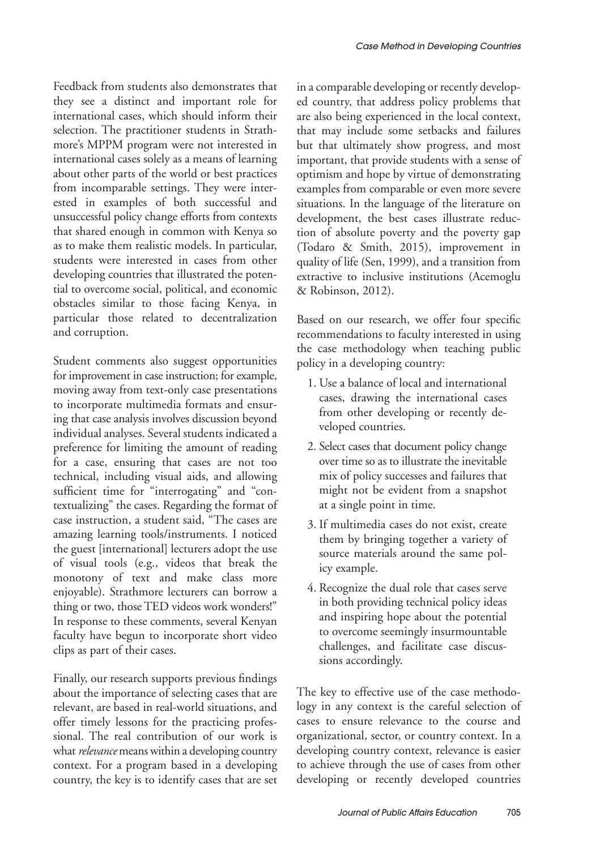Feedback from students also demonstrates that they see a distinct and important role for international cases, which should inform their selection. The practitioner students in Strathmore's MPPM program were not interested in international cases solely as a means of learning about other parts of the world or best practices from incomparable settings. They were interested in examples of both successful and unsuccessful policy change efforts from contexts that shared enough in common with Kenya so as to make them realistic models. In particular, students were interested in cases from other developing countries that illustrated the potential to overcome social, political, and economic obstacles similar to those facing Kenya, in particular those related to decentralization and corruption.

Student comments also suggest opportunities for improvement in case instruction; for example, moving away from text-only case presentations to incorporate multimedia formats and ensuring that case analysis involves discussion beyond individual analyses. Several students indicated a preference for limiting the amount of reading for a case, ensuring that cases are not too technical, including visual aids, and allowing sufficient time for "interrogating" and "contextualizing" the cases. Regarding the format of case instruction, a student said, "The cases are amazing learning tools/instruments. I noticed the guest [international] lecturers adopt the use of visual tools (e.g., videos that break the monotony of text and make class more enjoyable). Strathmore lecturers can borrow a thing or two, those TED videos work wonders!" In response to these comments, several Kenyan faculty have begun to incorporate short video clips as part of their cases.

Finally, our research supports previous findings about the importance of selecting cases that are relevant, are based in real-world situations, and offer timely lessons for the practicing professional. The real contribution of our work is what *relevance* means within a developing country context. For a program based in a developing country, the key is to identify cases that are set

in a comparable developing or recently developed country, that address policy problems that are also being experienced in the local context, that may include some setbacks and failures but that ultimately show progress, and most important, that provide students with a sense of optimism and hope by virtue of demonstrating examples from comparable or even more severe situations. In the language of the literature on development, the best cases illustrate reduction of absolute poverty and the poverty gap (Todaro & Smith, 2015), improvement in quality of life (Sen, 1999), and a transition from extractive to inclusive institutions (Acemoglu & Robinson, 2012).

Based on our research, we offer four specific recommendations to faculty interested in using the case methodology when teaching public policy in a developing country:

- 1. Use a balance of local and international cases, drawing the international cases from other developing or recently developed countries.
- 2. Select cases that document policy change over time so as to illustrate the inevitable mix of policy successes and failures that might not be evident from a snapshot at a single point in time.
- 3. If multimedia cases do not exist, create them by bringing together a variety of source materials around the same policy example.
- 4. Recognize the dual role that cases serve in both providing technical policy ideas and inspiring hope about the potential to overcome seemingly insurmountable challenges, and facilitate case discussions accordingly.

The key to effective use of the case methodology in any context is the careful selection of cases to ensure relevance to the course and organizational, sector, or country context. In a developing country context, relevance is easier to achieve through the use of cases from other developing or recently developed countries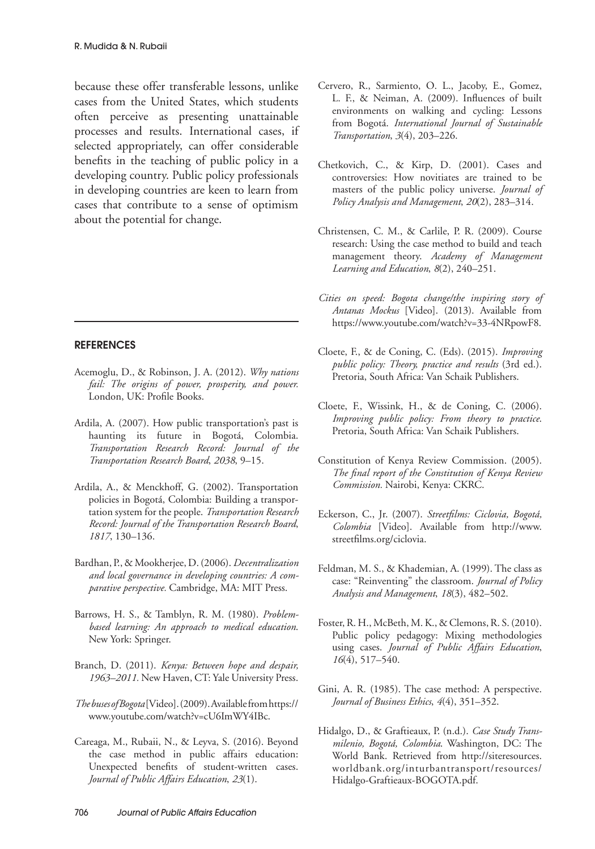because these offer transferable lessons, unlike cases from the United States, which students often perceive as presenting unattainable processes and results. International cases, if selected appropriately, can offer considerable benefits in the teaching of public policy in a developing country. Public policy professionals in developing countries are keen to learn from cases that contribute to a sense of optimism about the potential for change.

#### **REFERENCES**

- Acemoglu, D., & Robinson, J. A. (2012). *Why nations fail: The origins of power, prosperity, and power.* London, UK: Profile Books.
- Ardila, A. (2007). How public transportation's past is haunting its future in Bogotá, Colombia. *Transportation Research Record: Journal of the Transportation Research Board*, *2038*, 9–15.
- Ardila, A., & Menckhoff, G. (2002). Transportation policies in Bogotá, Colombia: Building a transportation system for the people. *Transportation Research Record: Journal of the Transportation Research Board*, *1817*, 130–136.
- Bardhan, P., & Mookherjee, D. (2006). *Decentralization and local governance in developing countries: A comparative perspective.* Cambridge, MA: MIT Press.
- Barrows, H. S., & Tamblyn, R. M. (1980). *Problembased learning: An approach to medical education*. New York: Springer.
- Branch, D. (2011). *Kenya: Between hope and despair, 1963–2011.* New Haven, CT: Yale University Press.
- *The buses of Bogota* [Video]. (2009). Available from https:// www.youtube.com/watch?v=cU6ImWY4IBc.
- Careaga, M., Rubaii, N., & Leyva, S. (2016). Beyond the case method in public affairs education: Unexpected benefits of student-written cases. *Journal of Public Affairs Education*, *23*(1).
- Cervero, R., Sarmiento, O. L., Jacoby, E., Gomez, L. F., & Neiman, A. (2009). Influences of built environments on walking and cycling: Lessons from Bogotá. *International Journal of Sustainable Transportation*, *3*(4), 203–226.
- Chetkovich, C., & Kirp, D. (2001). Cases and controversies: How novitiates are trained to be masters of the public policy universe. *Journal of Policy Analysis and Management*, *20*(2), 283–314.
- Christensen, C. M., & Carlile, P. R. (2009). Course research: Using the case method to build and teach management theory. *Academy of Management Learning and Education*, *8*(2), 240–251.
- *Cities on speed: Bogota change/the inspiring story of Antanas Mockus* [Video]. (2013). Available from https://www.youtube.com/watch?v=33-4NRpowF8.
- Cloete, F., & de Coning, C. (Eds). (2015). *Improving public policy: Theory, practice and results* (3rd ed.). Pretoria, South Africa: Van Schaik Publishers.
- Cloete, F., Wissink, H., & de Coning, C. (2006). *Improving public policy: From theory to practice*. Pretoria, South Africa: Van Schaik Publishers.
- Constitution of Kenya Review Commission. (2005). *The final report of the Constitution of Kenya Review Commission.* Nairobi, Kenya: CKRC.
- Eckerson, C., Jr. (2007). *Streetfilms: Ciclovia, Bogotá, Colombia* [Video]. Available from http://www. streetfilms.org/ciclovia.
- Feldman, M. S., & Khademian, A. (1999). The class as case: "Reinventing" the classroom. *Journal of Policy Analysis and Management*, *18*(3), 482–502.
- Foster, R. H., McBeth, M. K., & Clemons, R. S. (2010). Public policy pedagogy: Mixing methodologies using cases. *Journal of Public Affairs Education*, *16*(4), 517–540.
- Gini, A. R. (1985). The case method: A perspective. *Journal of Business Ethics*, *4*(4), 351–352.
- Hidalgo, D., & Graftieaux, P. (n.d.). *Case Study Transmilenio, Bogotá, Colombia*. Washington, DC: The World Bank. Retrieved from http://siteresources. worldbank.org/inturbantransport/resources/ Hidalgo-Graftieaux-BOGOTA.pdf.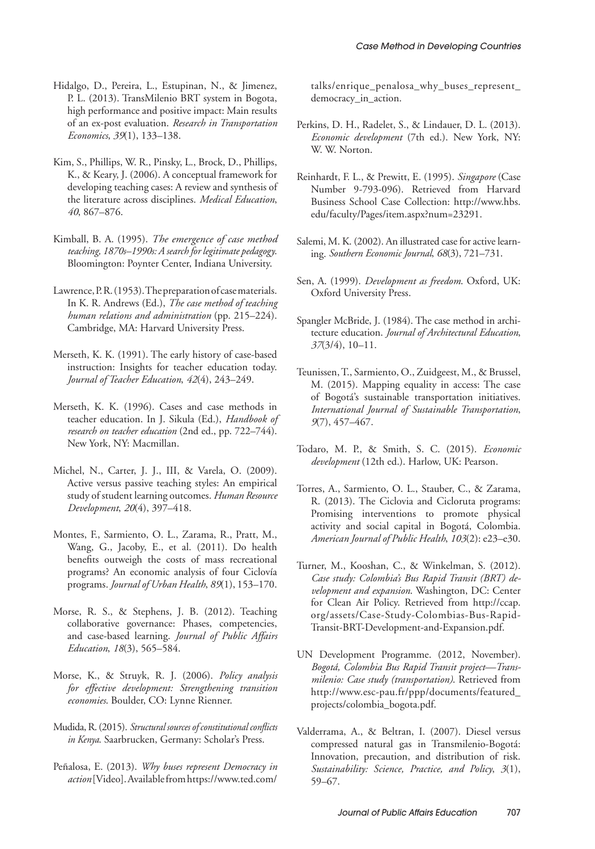- Hidalgo, D., Pereira, L., Estupinan, N., & Jimenez, P. L. (2013). TransMilenio BRT system in Bogota, high performance and positive impact: Main results of an ex-post evaluation. *Research in Transportation Economics*, *39*(1), 133–138.
- Kim, S., Phillips, W. R., Pinsky, L., Brock, D., Phillips, K., & Keary, J. (2006). A conceptual framework for developing teaching cases: A review and synthesis of the literature across disciplines. *Medical Education*, *40*, 867–876.
- Kimball, B. A. (1995). *The emergence of case method teaching, 1870s–1990s: A search for legitimate pedagogy*. Bloomington: Poynter Center, Indiana University.
- Lawrence, P. R. (1953). The preparation of case materials. In K. R. Andrews (Ed.), *The case method of teaching human relations and administration* (pp. 215–224). Cambridge, MA: Harvard University Press.
- Merseth, K. K. (1991). The early history of case-based instruction: Insights for teacher education today. *Journal of Teacher Education*, *42*(4), 243–249.
- Merseth, K. K. (1996). Cases and case methods in teacher education. In J. Sikula (Ed.), *Handbook of research on teacher education* (2nd ed., pp. 722–744). New York, NY: Macmillan.
- Michel, N., Carter, J. J., III, & Varela, O. (2009). Active versus passive teaching styles: An empirical study of student learning outcomes. *Human Resource Development*, *20*(4), 397–418.
- Montes, F., Sarmiento, O. L., Zarama, R., Pratt, M., Wang, G., Jacoby, E., et al. (2011). Do health benefits outweigh the costs of mass recreational programs? An economic analysis of four Ciclovía programs. *Journal of Urban Health*, *89*(1), 153–170.
- Morse, R. S., & Stephens, J. B. (2012). Teaching collaborative governance: Phases, competencies, and case-based learning. *Journal of Public Affairs Education*, *18*(3), 565–584.
- Morse, K., & Struyk, R. J. (2006). *Policy analysis for effective development: Strengthening transition economies*. Boulder, CO: Lynne Rienner.
- Mudida, R. (2015). *Structural sources of constitutional conficts in Kenya*. Saarbrucken, Germany: Scholar's Press.
- Peñalosa, E. (2013). *Why buses represent Democracy in action* [Video]. Available from https://www.ted.com/

talks/enrique\_penalosa\_why\_buses\_represent\_ democracy\_in\_action.

- Perkins, D. H., Radelet, S., & Lindauer, D. L. (2013). *Economic development* (7th ed.). New York, NY: W. W. Norton.
- Reinhardt, F. L., & Prewitt, E. (1995). *Singapore* (Case Number 9-793-096). Retrieved from Harvard Business School Case Collection: http://www.hbs. edu/faculty/Pages/item.aspx?num=23291.
- Salemi, M. K. (2002). An illustrated case for active learning. *Southern Economic Journal*, *68*(3), 721–731.
- Sen, A. (1999). *Development as freedom*. Oxford, UK: Oxford University Press.
- Spangler McBride, J. (1984). The case method in architecture education. *Journal of Architectural Education*, *37*(3/4), 10–11.
- Teunissen, T., Sarmiento, O., Zuidgeest, M., & Brussel, M. (2015). Mapping equality in access: The case of Bogotá's sustainable transportation initiatives. *International Journal of Sustainable Transportation*, *9*(7), 457–467.
- Todaro, M. P., & Smith, S. C. (2015). *Economic development* (12th ed.). Harlow, UK: Pearson.
- Torres, A., Sarmiento, O. L., Stauber, C., & Zarama, R. (2013). The Ciclovia and Cicloruta programs: Promising interventions to promote physical activity and social capital in Bogotá, Colombia. *American Journal of Public Health*, *103*(2): e23–e30.
- Turner, M., Kooshan, C., & Winkelman, S. (2012). *Case study: Colombia's Bus Rapid Transit (BRT) development and expansion*. Washington, DC: Center for Clean Air Policy. Retrieved from http://ccap. org/assets/Case-Study-Colombias-Bus-Rapid-Transit-BRT-Development-and-Expansion.pdf.
- UN Development Programme. (2012, November). *Bogotá, Colombia Bus Rapid Transit project—Transmilenio: Case study (transportation)*. Retrieved from http://www.esc-pau.fr/ppp/documents/featured\_ projects/colombia\_bogota.pdf.
- Valderrama, A., & Beltran, I. (2007). Diesel versus compressed natural gas in Transmilenio-Bogotá: Innovation, precaution, and distribution of risk. *Sustainability: Science, Practice, and Policy*, *3*(1), 59–67.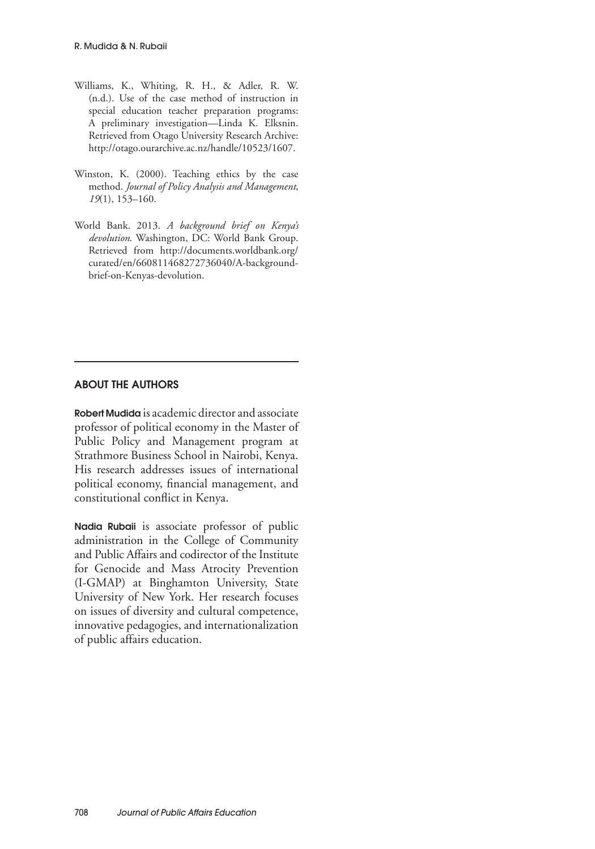- Williams, K., Whiting, R. H., & Adler, R. W. (n.d.). Use of the case method of instruction in special education teacher preparation programs: A preliminary investigation—Linda K. Elksnin. Retrieved from Otago University Research Archive: http://otago.ourarchive.ac.nz/handle/10523/1607.
- Winston, K. (2000). Teaching ethics by the case method. *Journal of Policy Analysis and Management*, *19*(1), 153–160.
- World Bank. 2013. *A background brief on Kenya's devolution*. Washington, DC: World Bank Group. Retrieved from http://documents.worldbank.org/ curated/en/660811468272736040/A-backgroundbrief-on-Kenyas-devolution.

#### ABOUT THE AUTHORS

Robert Mudida is academic director and associate professor of political economy in the Master of Public Policy and Management program at Strathmore Business School in Nairobi, Kenya. His research addresses issues of international political economy, financial management, and constitutional conflict in Kenya.

Nadia Rubaii is associate professor of public administration in the College of Community and Public Affairs and codirector of the Institute for Genocide and Mass Atrocity Prevention (I-GMAP) at Binghamton University, State University of New York. Her research focuses on issues of diversity and cultural competence, innovative pedagogies, and internationalization of public affairs education.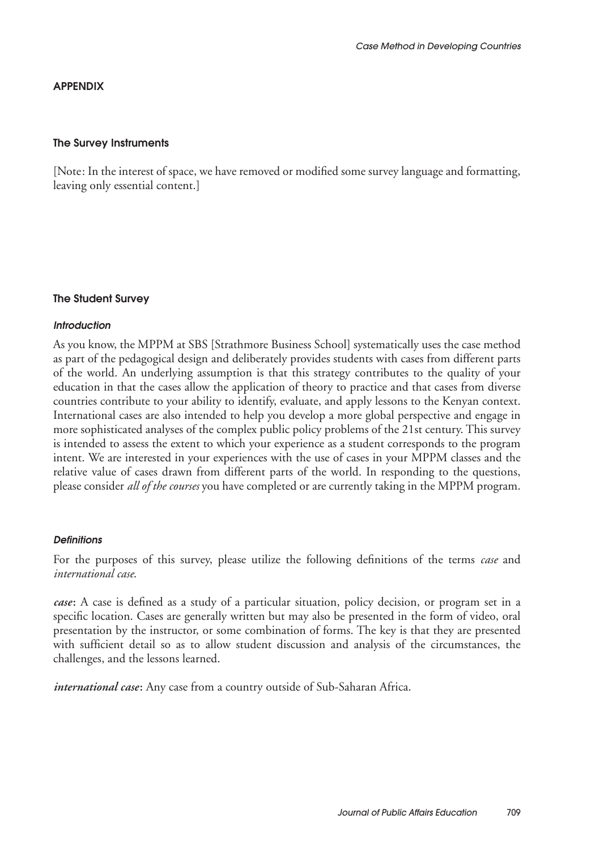# APPENDIX

#### The Survey Instruments

[Note: In the interest of space, we have removed or modified some survey language and formatting, leaving only essential content.]

# The Student Survey

#### *Introduction*

As you know, the MPPM at SBS [Strathmore Business School] systematically uses the case method as part of the pedagogical design and deliberately provides students with cases from different parts of the world. An underlying assumption is that this strategy contributes to the quality of your education in that the cases allow the application of theory to practice and that cases from diverse countries contribute to your ability to identify, evaluate, and apply lessons to the Kenyan context. International cases are also intended to help you develop a more global perspective and engage in more sophisticated analyses of the complex public policy problems of the 21st century. This survey is intended to assess the extent to which your experience as a student corresponds to the program intent. We are interested in your experiences with the use of cases in your MPPM classes and the relative value of cases drawn from different parts of the world. In responding to the questions, please consider *all of the courses* you have completed or are currently taking in the MPPM program.

#### *Definitions*

For the purposes of this survey, please utilize the following definitions of the terms *case* and *international case*.

*case***:** A case is defined as a study of a particular situation, policy decision, or program set in a specific location. Cases are generally written but may also be presented in the form of video, oral presentation by the instructor, or some combination of forms. The key is that they are presented with sufficient detail so as to allow student discussion and analysis of the circumstances, the challenges, and the lessons learned.

*international case***:** Any case from a country outside of Sub-Saharan Africa.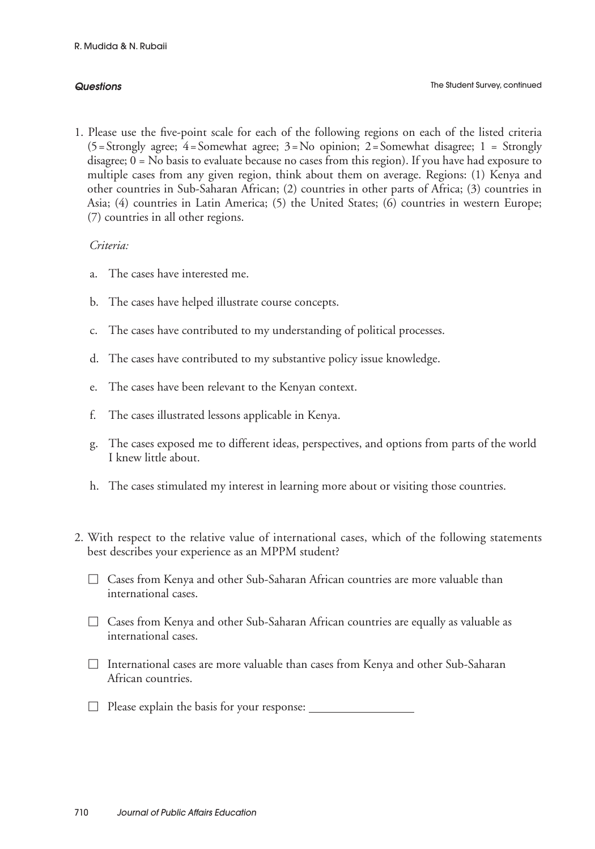#### *Questions*

1. Please use the five-point scale for each of the following regions on each of the listed criteria  $(5=Strongly \text{ agree}; \text{4}=Somewhat \text{ agree}; \text{3}=No \text{ opinion}; \text{2}=Somewhat \text{ disappear}; \text{1} = Strongly$ disagree; 0 = No basis to evaluate because no cases from this region). If you have had exposure to multiple cases from any given region, think about them on average. Regions: (1) Kenya and other countries in Sub-Saharan African; (2) countries in other parts of Africa; (3) countries in Asia; (4) countries in Latin America; (5) the United States; (6) countries in western Europe; (7) countries in all other regions.

# *Criteria:*

- a. The cases have interested me.
- b. The cases have helped illustrate course concepts.
- c. The cases have contributed to my understanding of political processes.
- d. The cases have contributed to my substantive policy issue knowledge.
- e. The cases have been relevant to the Kenyan context.
- f. The cases illustrated lessons applicable in Kenya.
- g. The cases exposed me to different ideas, perspectives, and options from parts of the world I knew little about.
- h. The cases stimulated my interest in learning more about or visiting those countries.
- 2. With respect to the relative value of international cases, which of the following statements best describes your experience as an MPPM student?
	- $\Box$  Cases from Kenya and other Sub-Saharan African countries are more valuable than international cases.
	- $\Box$  Cases from Kenya and other Sub-Saharan African countries are equally as valuable as international cases.
	- $\Box$  International cases are more valuable than cases from Kenya and other Sub-Saharan African countries.
	- $\Box$  Please explain the basis for your response:  $\Box$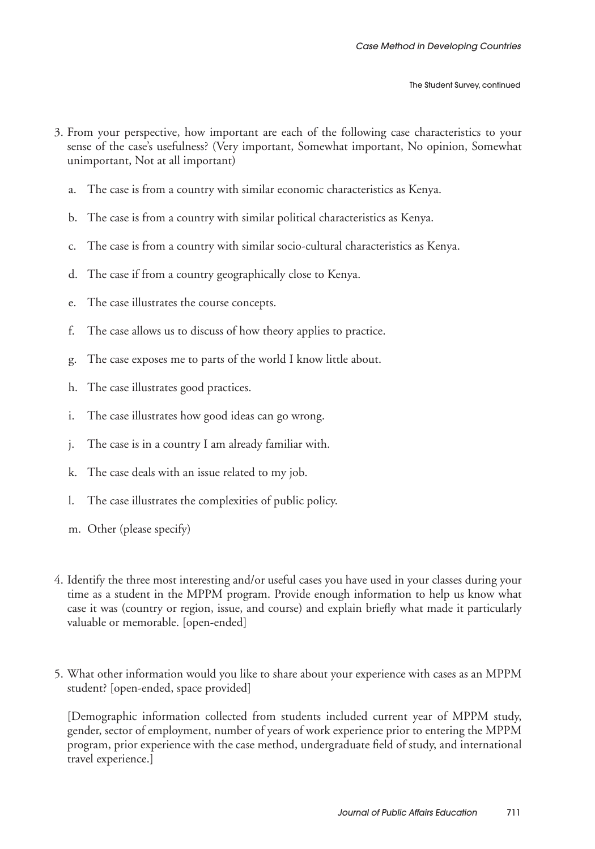- 3. From your perspective, how important are each of the following case characteristics to your sense of the case's usefulness? (Very important, Somewhat important, No opinion, Somewhat unimportant, Not at all important)
	- a. The case is from a country with similar economic characteristics as Kenya.
	- b. The case is from a country with similar political characteristics as Kenya.
	- The case is from a country with similar socio-cultural characteristics as Kenya.
	- d. The case if from a country geographically close to Kenya.
	- e. The case illustrates the course concepts.
	- f. The case allows us to discuss of how theory applies to practice.
	- g. The case exposes me to parts of the world I know little about.
	- h. The case illustrates good practices.
	- i. The case illustrates how good ideas can go wrong.
	- j. The case is in a country I am already familiar with.
	- k. The case deals with an issue related to my job.
	- l. The case illustrates the complexities of public policy.
	- m. Other (please specify)
- 4. Identify the three most interesting and/or useful cases you have used in your classes during your time as a student in the MPPM program. Provide enough information to help us know what case it was (country or region, issue, and course) and explain briefly what made it particularly valuable or memorable. [open-ended]
- 5. What other information would you like to share about your experience with cases as an MPPM student? [open-ended, space provided]

[Demographic information collected from students included current year of MPPM study, gender, sector of employment, number of years of work experience prior to entering the MPPM program, prior experience with the case method, undergraduate field of study, and international travel experience.]